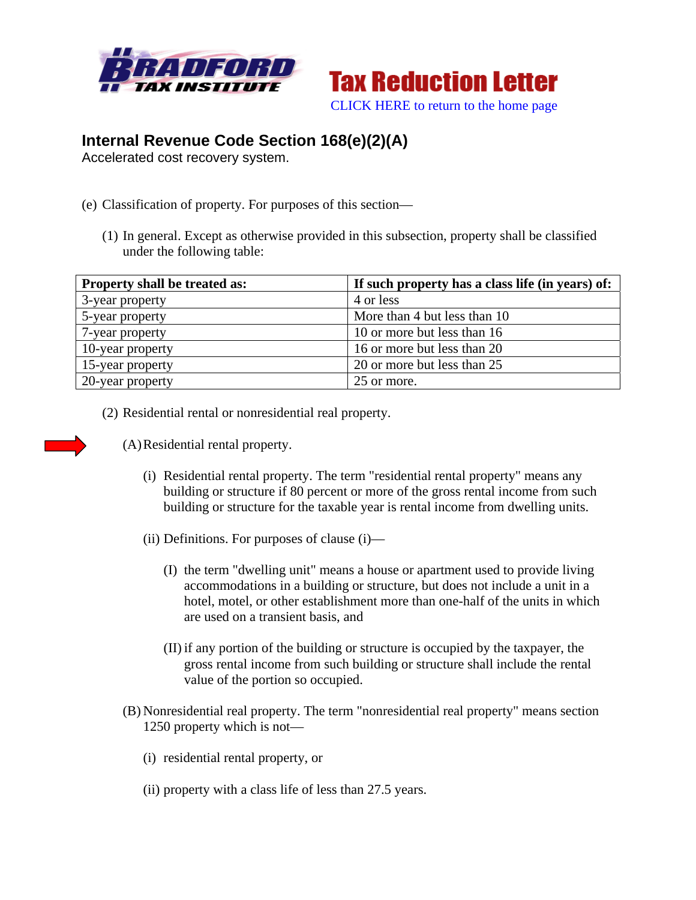



## **Internal Revenue Code Section 168(e)(2)(A)**

Accelerated cost recovery system.

- (e) Classification of property. For purposes of this section—
	- (1) In general. Except as otherwise provided in this subsection, property shall be classified under the following table:

| <b>Property shall be treated as:</b> | If such property has a class life (in years) of: |
|--------------------------------------|--------------------------------------------------|
| 3-year property                      | 4 or less                                        |
| 5-year property                      | More than 4 but less than 10                     |
| 7-year property                      | 10 or more but less than 16                      |
| 10-year property                     | 16 or more but less than 20                      |
| 15-year property                     | 20 or more but less than 25                      |
| 20-year property                     | 25 or more.                                      |

(2) Residential rental or nonresidential real property.



(A)Residential rental property.

- (i) Residential rental property. The term "residential rental property" means any building or structure if 80 percent or more of the gross rental income from such building or structure for the taxable year is rental income from dwelling units.
- (ii) Definitions. For purposes of clause (i)—
	- (I) the term "dwelling unit" means a house or apartment used to provide living accommodations in a building or structure, but does not include a unit in a hotel, motel, or other establishment more than one-half of the units in which are used on a transient basis, and
	- (II) if any portion of the building or structure is occupied by the taxpayer, the gross rental income from such building or structure shall include the rental value of the portion so occupied.
- (B) Nonresidential real property. The term "nonresidential real property" means section 1250 property which is not—
	- (i) residential rental property, or
	- (ii) property with a class life of less than 27.5 years.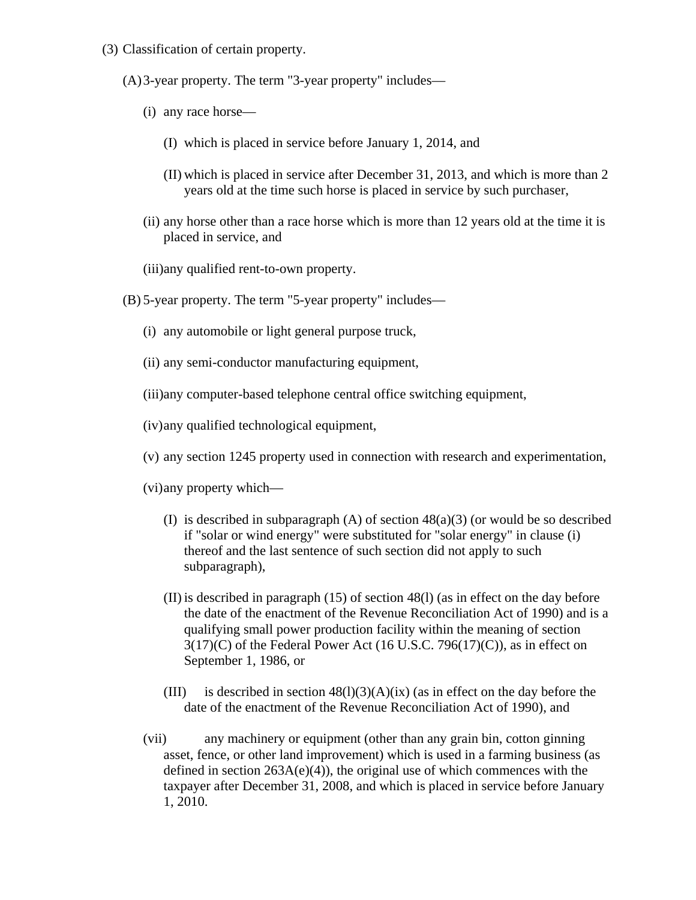(3) Classification of certain property.

(A)3-year property. The term "3-year property" includes—

- (i) any race horse—
	- (I) which is placed in service before January 1, 2014, and
	- (II) which is placed in service after December 31, 2013, and which is more than 2 years old at the time such horse is placed in service by such purchaser,
- (ii) any horse other than a race horse which is more than 12 years old at the time it is placed in service, and
- (iii)any qualified rent-to-own property.
- (B) 5-year property. The term "5-year property" includes—
	- (i) any automobile or light general purpose truck,
	- (ii) any semi-conductor manufacturing equipment,
	- (iii)any computer-based telephone central office switching equipment,
	- (iv)any qualified technological equipment,

(v) any section 1245 property used in connection with research and experimentation,

(vi)any property which—

- (I) is described in subparagraph  $(A)$  of section  $48(a)(3)$  (or would be so described if "solar or wind energy" were substituted for "solar energy" in clause (i) thereof and the last sentence of such section did not apply to such subparagraph),
- (II) is described in paragraph (15) of section 48(l) (as in effect on the day before the date of the enactment of the Revenue Reconciliation Act of 1990) and is a qualifying small power production facility within the meaning of section  $3(17)(C)$  of the Federal Power Act (16 U.S.C. 796(17)(C)), as in effect on September 1, 1986, or
- (III) is described in section  $48(1)(3)(A)(ix)$  (as in effect on the day before the date of the enactment of the Revenue Reconciliation Act of 1990), and
- (vii) any machinery or equipment (other than any grain bin, cotton ginning asset, fence, or other land improvement) which is used in a farming business (as defined in section  $263A(e)(4)$ , the original use of which commences with the taxpayer after December 31, 2008, and which is placed in service before January 1, 2010.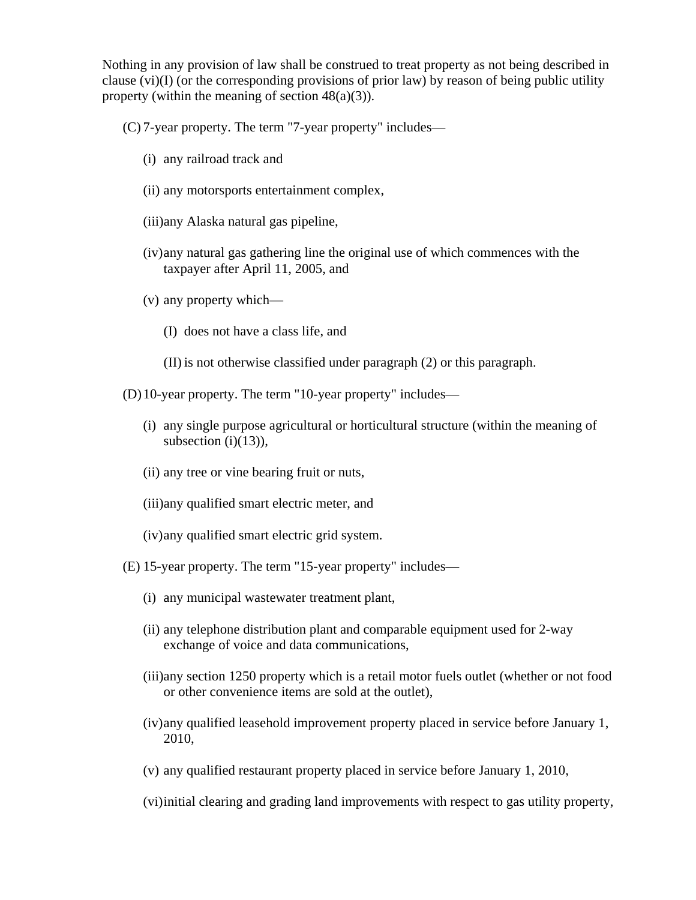Nothing in any provision of law shall be construed to treat property as not being described in clause  $(vi)(I)$  (or the corresponding provisions of prior law) by reason of being public utility property (within the meaning of section  $48(a)(3)$ ).

(C) 7-year property. The term "7-year property" includes—

- (i) any railroad track and
- (ii) any motorsports entertainment complex,
- (iii)any Alaska natural gas pipeline,
- (iv)any natural gas gathering line the original use of which commences with the taxpayer after April 11, 2005, and
- (v) any property which—
	- (I) does not have a class life, and
	- (II) is not otherwise classified under paragraph (2) or this paragraph.
- (D)10-year property. The term "10-year property" includes—
	- (i) any single purpose agricultural or horticultural structure (within the meaning of subsection  $(i)(13)$ ),
	- (ii) any tree or vine bearing fruit or nuts,
	- (iii)any qualified smart electric meter, and
	- (iv)any qualified smart electric grid system.
- (E) 15-year property. The term "15-year property" includes—
	- (i) any municipal wastewater treatment plant,
	- (ii) any telephone distribution plant and comparable equipment used for 2-way exchange of voice and data communications,
	- (iii)any section 1250 property which is a retail motor fuels outlet (whether or not food or other convenience items are sold at the outlet),
	- (iv)any qualified leasehold improvement property placed in service before January 1, 2010,
	- (v) any qualified restaurant property placed in service before January 1, 2010,

(vi)initial clearing and grading land improvements with respect to gas utility property,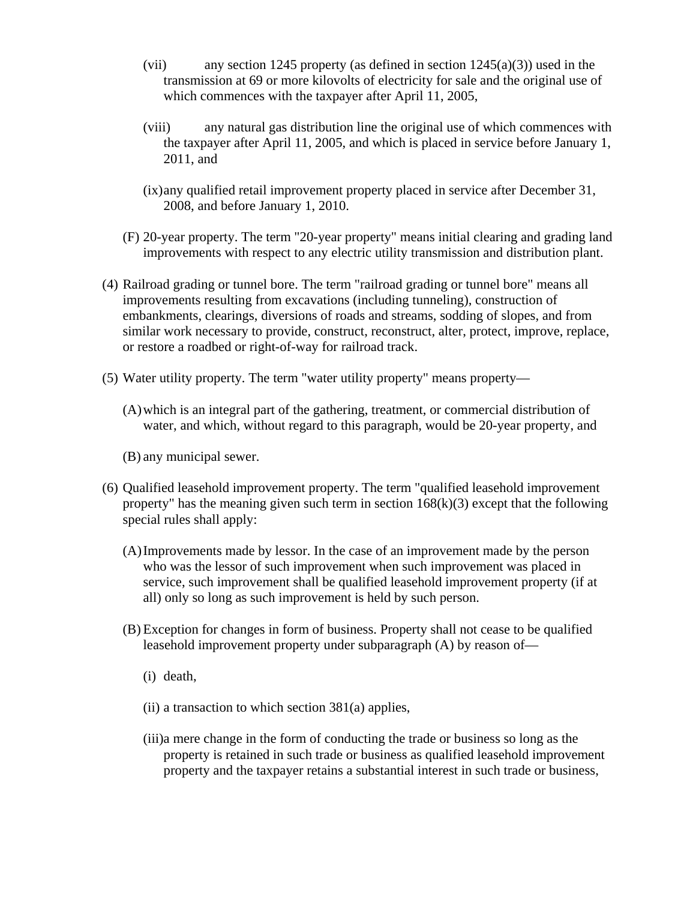- (vii) any section 1245 property (as defined in section  $1245(a)(3)$ ) used in the transmission at 69 or more kilovolts of electricity for sale and the original use of which commences with the taxpayer after April 11, 2005,
- (viii) any natural gas distribution line the original use of which commences with the taxpayer after April 11, 2005, and which is placed in service before January 1, 2011, and
- (ix)any qualified retail improvement property placed in service after December 31, 2008, and before January 1, 2010.
- (F) 20-year property. The term "20-year property" means initial clearing and grading land improvements with respect to any electric utility transmission and distribution plant.
- (4) Railroad grading or tunnel bore. The term "railroad grading or tunnel bore" means all improvements resulting from excavations (including tunneling), construction of embankments, clearings, diversions of roads and streams, sodding of slopes, and from similar work necessary to provide, construct, reconstruct, alter, protect, improve, replace, or restore a roadbed or right-of-way for railroad track.
- (5) Water utility property. The term "water utility property" means property—
	- (A)which is an integral part of the gathering, treatment, or commercial distribution of water, and which, without regard to this paragraph, would be 20-year property, and
	- (B) any municipal sewer.
- (6) Qualified leasehold improvement property. The term "qualified leasehold improvement property" has the meaning given such term in section  $168(k)(3)$  except that the following special rules shall apply:
	- (A)Improvements made by lessor. In the case of an improvement made by the person who was the lessor of such improvement when such improvement was placed in service, such improvement shall be qualified leasehold improvement property (if at all) only so long as such improvement is held by such person.
	- (B) Exception for changes in form of business. Property shall not cease to be qualified leasehold improvement property under subparagraph (A) by reason of—
		- (i) death,
		- (ii) a transaction to which section 381(a) applies,
		- (iii)a mere change in the form of conducting the trade or business so long as the property is retained in such trade or business as qualified leasehold improvement property and the taxpayer retains a substantial interest in such trade or business,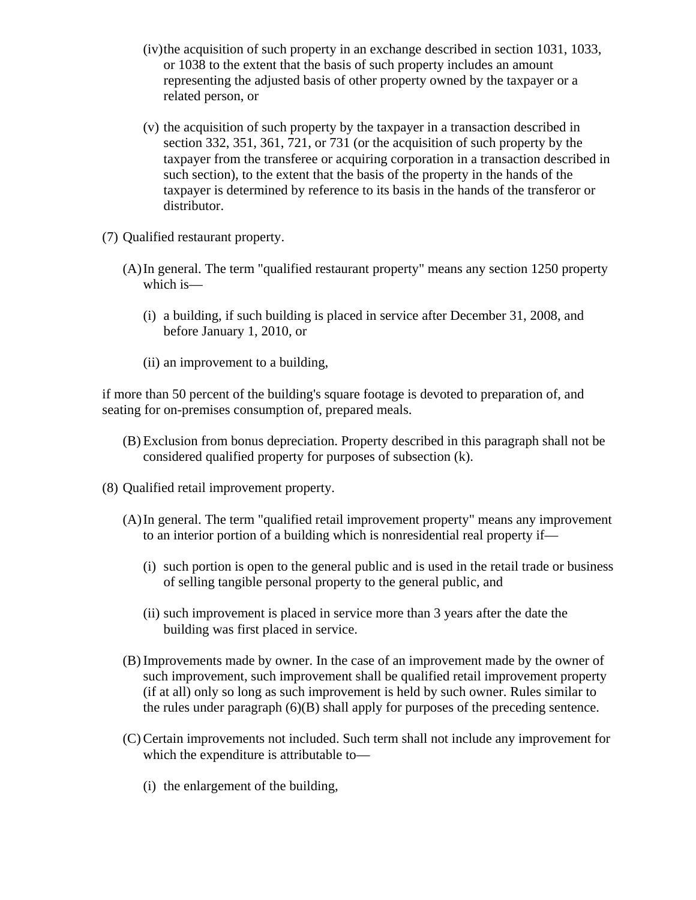- (iv)the acquisition of such property in an exchange described in section 1031, 1033, or 1038 to the extent that the basis of such property includes an amount representing the adjusted basis of other property owned by the taxpayer or a related person, or
- (v) the acquisition of such property by the taxpayer in a transaction described in section 332, 351, 361, 721, or 731 (or the acquisition of such property by the taxpayer from the transferee or acquiring corporation in a transaction described in such section), to the extent that the basis of the property in the hands of the taxpayer is determined by reference to its basis in the hands of the transferor or distributor.
- (7) Qualified restaurant property.
	- (A)In general. The term "qualified restaurant property" means any section 1250 property which is—
		- (i) a building, if such building is placed in service after December 31, 2008, and before January 1, 2010, or
		- (ii) an improvement to a building,

if more than 50 percent of the building's square footage is devoted to preparation of, and seating for on-premises consumption of, prepared meals.

- (B) Exclusion from bonus depreciation. Property described in this paragraph shall not be considered qualified property for purposes of subsection (k).
- (8) Qualified retail improvement property.
	- (A)In general. The term "qualified retail improvement property" means any improvement to an interior portion of a building which is nonresidential real property if—
		- (i) such portion is open to the general public and is used in the retail trade or business of selling tangible personal property to the general public, and
		- (ii) such improvement is placed in service more than 3 years after the date the building was first placed in service.
	- (B) Improvements made by owner. In the case of an improvement made by the owner of such improvement, such improvement shall be qualified retail improvement property (if at all) only so long as such improvement is held by such owner. Rules similar to the rules under paragraph (6)(B) shall apply for purposes of the preceding sentence.
	- (C) Certain improvements not included. Such term shall not include any improvement for which the expenditure is attributable to—
		- (i) the enlargement of the building,